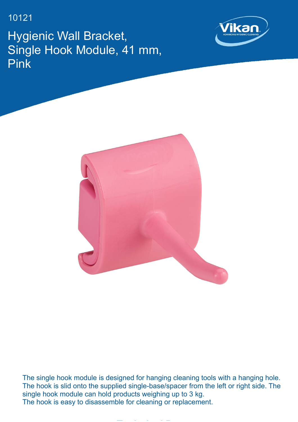10121

Hygienic Wall Bracket, Single Hook Module, 41 mm, Pink





The single hook module is designed for hanging cleaning tools with a hanging hole. The hook is slid onto the supplied single-base/spacer from the left or right side. The single hook module can hold products weighing up to 3 kg. The hook is easy to disassemble for cleaning or replacement.

**Technical Data**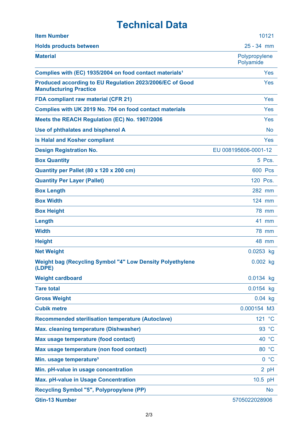## **Technical Data**

| <b>Item Number</b>                                                                        | 10121                      |
|-------------------------------------------------------------------------------------------|----------------------------|
| <b>Holds products between</b>                                                             | $25 - 34$ mm               |
| <b>Material</b>                                                                           | Polypropylene<br>Polyamide |
| Complies with (EC) 1935/2004 on food contact materials <sup>1</sup>                       | Yes                        |
| Produced according to EU Regulation 2023/2006/EC of Good<br><b>Manufacturing Practice</b> | Yes                        |
| <b>FDA compliant raw material (CFR 21)</b>                                                | Yes                        |
| Complies with UK 2019 No. 704 on food contact materials                                   | Yes                        |
| Meets the REACH Regulation (EC) No. 1907/2006                                             | Yes                        |
| Use of phthalates and bisphenol A                                                         | <b>No</b>                  |
| <b>Is Halal and Kosher compliant</b>                                                      | Yes                        |
| <b>Design Registration No.</b>                                                            | EU 008195606-0001-12       |
| <b>Box Quantity</b>                                                                       | 5 Pcs.                     |
| Quantity per Pallet (80 x 120 x 200 cm)                                                   | <b>600 Pcs</b>             |
| <b>Quantity Per Layer (Pallet)</b>                                                        | 120 Pcs.                   |
| <b>Box Length</b>                                                                         | 282 mm                     |
| <b>Box Width</b>                                                                          | 124 mm                     |
| <b>Box Height</b>                                                                         | <b>78 mm</b>               |
| Length                                                                                    | 41 mm                      |
| <b>Width</b>                                                                              | <b>78 mm</b>               |
| <b>Height</b>                                                                             | 48 mm                      |
| <b>Net Weight</b>                                                                         | 0.0253 kg                  |
| <b>Weight bag (Recycling Symbol "4" Low Density Polyethylene</b><br>(LDPE)                | $0.002$ kg                 |
| <b>Weight cardboard</b>                                                                   | 0.0134 kg                  |
| <b>Tare total</b>                                                                         | 0.0154 kg                  |
| <b>Gross Weight</b>                                                                       | $0.04$ kg                  |
| <b>Cubik metre</b>                                                                        | 0.000154 M3                |
| <b>Recommended sterilisation temperature (Autoclave)</b>                                  | 121 °C                     |
| <b>Max. cleaning temperature (Dishwasher)</b>                                             | 93 °C                      |
| Max usage temperature (food contact)                                                      | 40 °C                      |
| Max usage temperature (non food contact)                                                  | 80 °C                      |
| Min. usage temperature <sup>3</sup>                                                       | 0 °C                       |
| Min. pH-value in usage concentration                                                      | 2 pH                       |
| <b>Max. pH-value in Usage Concentration</b>                                               | 10.5 pH                    |
| <b>Recycling Symbol "5", Polypropylene (PP)</b>                                           | <b>No</b>                  |
| <b>Gtin-13 Number</b>                                                                     | 5705022028906              |